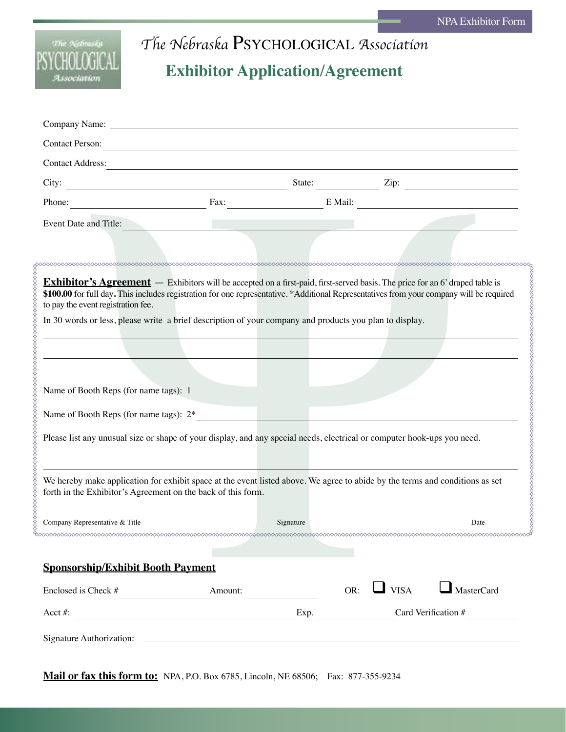

## *The Nebraska* Psychological *Association* **Exhibitor Application/Agreement**

| <b>Contact Person:</b>                                                                                                                        | <u> 1989 - Johann Barn, fransk politik (d. 1989)</u>      |           |                         |                   |
|-----------------------------------------------------------------------------------------------------------------------------------------------|-----------------------------------------------------------|-----------|-------------------------|-------------------|
| <b>Contact Address:</b>                                                                                                                       |                                                           |           |                         |                   |
| City:                                                                                                                                         | <u> 1980 - Johann Barbara, martxa amerikan personal (</u> |           | State: <u>Zip:</u> Zip: |                   |
| Phone:                                                                                                                                        |                                                           |           | Fax: E Mail:            |                   |
| Event Date and Title:                                                                                                                         |                                                           |           |                         |                   |
|                                                                                                                                               |                                                           |           |                         |                   |
|                                                                                                                                               |                                                           |           |                         |                   |
| Exhibitor's Agreement — Exhibitors will be accepted on a first-paid, first-served basis. The price for an 6' draped table is                  |                                                           |           |                         |                   |
| \$100.00 for full day. This includes registration for one representative. *Additional Representatives from your company will be required      |                                                           |           |                         |                   |
| to pay the event registration fee.<br>In 30 words or less, please write a brief description of your company and products you plan to display. |                                                           |           |                         |                   |
|                                                                                                                                               |                                                           |           |                         |                   |
|                                                                                                                                               |                                                           |           |                         |                   |
|                                                                                                                                               |                                                           |           |                         |                   |
|                                                                                                                                               |                                                           |           |                         |                   |
| Name of Booth Reps (for name tags): 1                                                                                                         |                                                           |           |                         |                   |
| Name of Booth Reps (for name tags): 2*                                                                                                        |                                                           |           |                         |                   |
|                                                                                                                                               |                                                           |           |                         |                   |
| Please list any unusual size or shape of your display, and any special needs, electrical or computer hook-ups you need.                       |                                                           |           |                         |                   |
|                                                                                                                                               |                                                           |           |                         |                   |
|                                                                                                                                               |                                                           |           |                         |                   |
| We hereby make application for exhibit space at the event listed above. We agree to abide by the terms and conditions as set                  |                                                           |           |                         |                   |
| forth in the Exhibitor's Agreement on the back of this form.                                                                                  |                                                           |           |                         |                   |
|                                                                                                                                               |                                                           |           |                         |                   |
| Company Representative & Title                                                                                                                |                                                           | Signature |                         | Date              |
|                                                                                                                                               |                                                           |           |                         |                   |
| <b>Sponsorship/Exhibit Booth Payment</b>                                                                                                      |                                                           |           |                         |                   |
|                                                                                                                                               |                                                           |           | OR: $\Box$ VISA         | $\Box$ MasterCard |
| Enclosed is Check $#$ Amount:                                                                                                                 |                                                           |           |                         |                   |

**Mail or fax this form to:** NPA, P.O. Box 6785, Lincoln, NE 68506; Fax: 877-355-9234